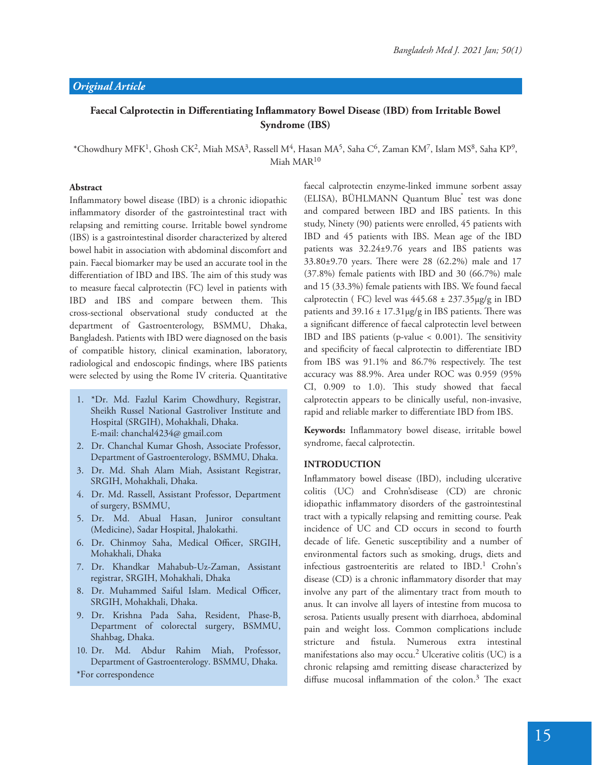# Faecal Calprotectin in Differentiating Inflammatory Bowel Disease (IBD) from Irritable Bowel **Syndrome (IBS)**

\*Chowdhury MFK<sup>1</sup>, Ghosh CK<sup>2</sup>, Miah MSA<sup>3</sup>, Rassell M<sup>4</sup>, Hasan MA<sup>5</sup>, Saha C<sup>6</sup>, Zaman KM<sup>7</sup>, Islam MS<sup>8</sup>, Saha KP<sup>9</sup>, Miah MAR<sup>10</sup>

#### **Abstract**

Inflammatory bowel disease (IBD) is a chronic idiopathic inflammatory disorder of the gastrointestinal tract with relapsing and remitting course. Irritable bowel syndrome (IBS) is a gastrointestinal disorder characterized by altered bowel habit in association with abdominal discomfort and pain. Faecal biomarker may be used an accurate tool in the differentiation of IBD and IBS. The aim of this study was to measure faecal calprotectin (FC) level in patients with IBD and IBS and compare between them. This cross-sectional observational study conducted at the department of Gastroenterology, BSMMU, Dhaka, Bangladesh. Patients with IBD were diagnosed on the basis of compatible history, clinical examination, laboratory, radiological and endoscopic findings, where IBS patients were selected by using the Rome IV criteria. Quantitative

- 1. \*Dr. Md. Fazlul Karim Chowdhury, Registrar, Sheikh Russel National Gastroliver Institute and Hospital (SRGIH), Mohakhali, Dhaka. E-mail: chanchal4234@ gmail.com
- 2. Dr. Chanchal Kumar Ghosh, Associate Professor, Department of Gastroenterology, BSMMU, Dhaka.
- 3. Dr. Md. Shah Alam Miah, Assistant Registrar, SRGIH, Mohakhali, Dhaka.
- 4. Dr. Md. Rassell, Assistant Professor, Department of surgery, BSMMU,
- 5. Dr. Md. Abual Hasan, Juniror consultant (Medicine), Sadar Hospital, Jhalokathi.
- 6. Dr. Chinmoy Saha, Medical Officer, SRGIH, Mohakhali, Dhaka
- 7. Dr. Khandkar Mahabub-Uz-Zaman, Assistant registrar, SRGIH, Mohakhali, Dhaka
- 8. Dr. Muhammed Saiful Islam. Medical Officer, SRGIH, Mohakhali, Dhaka.
- 9. Dr. Krishna Pada Saha, Resident, Phase-B, Department of colorectal surgery, BSMMU, Shahbag, Dhaka.
- 10. Dr. Md. Abdur Rahim Miah, Professor, Department of Gastroenterology. BSMMU, Dhaka. \*For correspondence

faecal calprotectin enzyme-linked immune sorbent assay (ELISA), BÜHLMANN Quantum Blue<sup>®</sup> test was done and compared between IBD and IBS patients. In this study, Ninety (90) patients were enrolled, 45 patients with IBD and 45 patients with IBS. Mean age of the IBD patients was 32.24±9.76 years and IBS patients was  $33.80±9.70$  years. There were 28 (62.2%) male and 17 (37.8%) female patients with IBD and 30 (66.7%) male and 15 (33.3%) female patients with IBS. We found faecal calprotectin (FC) level was  $445.68 \pm 237.35 \mu g/g$  in IBD patients and  $39.16 \pm 17.31 \mu g/g$  in IBS patients. There was a significant difference of faecal calprotectin level between IBD and IBS patients (p-value  $< 0.001$ ). The sensitivity and specificity of faecal calprotectin to differentiate IBD from IBS was  $91.1\%$  and  $86.7\%$  respectively. The test accuracy was 88.9%. Area under ROC was 0.959 (95% CI, 0.909 to 1.0). This study showed that faecal calprotectin appears to be clinically useful, non-invasive, rapid and reliable marker to differentiate IBD from IBS.

Keywords: Inflammatory bowel disease, irritable bowel syndrome, faecal calprotectin.

#### **INTRODUCTION**

Inflammatory bowel disease (IBD), including ulcerative colitis (UC) and Crohn'sdisease (CD) are chronic idiopathic inflammatory disorders of the gastrointestinal tract with a typically relapsing and remitting course. Peak incidence of UC and CD occurs in second to fourth decade of life. Genetic susceptibility and a number of environmental factors such as smoking, drugs, diets and infectious gastroenteritis are related to IBD.<sup>1</sup> Crohn's disease (CD) is a chronic inflammatory disorder that may involve any part of the alimentary tract from mouth to anus. It can involve all layers of intestine from mucosa to serosa. Patients usually present with diarrhoea, abdominal pain and weight loss. Common complications include stricture and fistula. Numerous extra intestinal manifestations also may occu.<sup>2</sup> Ulcerative colitis (UC) is a chronic relapsing amd remitting disease characterized by diffuse mucosal inflammation of the colon.<sup>3</sup> The exact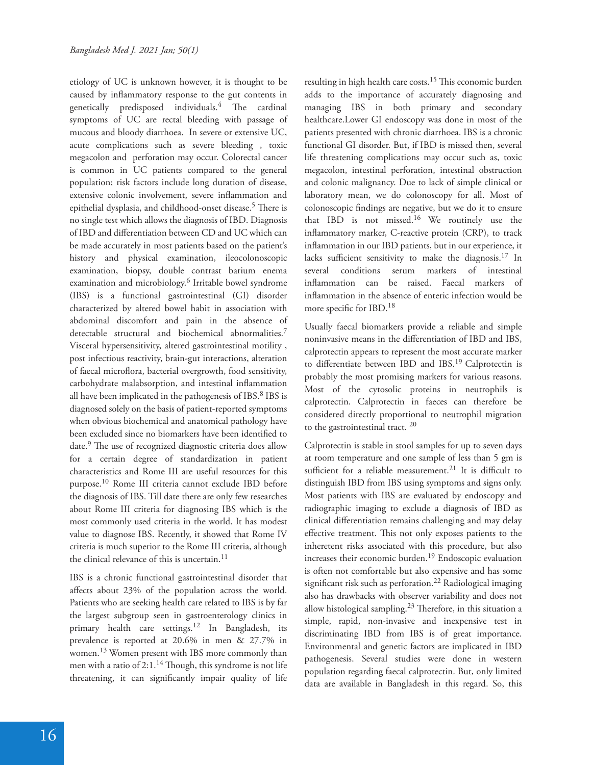etiology of UC is unknown however, it is thought to be caused by inflammatory response to the gut contents in genetically predisposed individuals. $\frac{4}{1}$  The cardinal symptoms of UC are rectal bleeding with passage of mucous and bloody diarrhoea. In severe or extensive UC, acute complications such as severe bleeding , toxic megacolon and perforation may occur. Colorectal cancer is common in UC patients compared to the general population; risk factors include long duration of disease, extensive colonic involvement, severe inflammation and epithelial dysplasia, and childhood-onset disease.<sup>5</sup> There is no single test which allows the diagnosis of IBD. Diagnosis of IBD and differentiation between CD and UC which can be made accurately in most patients based on the patient's history and physical examination, ileocolonoscopic examination, biopsy, double contrast barium enema examination and microbiology.<sup>6</sup> Irritable bowel syndrome (IBS) is a functional gastrointestinal (GI) disorder characterized by altered bowel habit in association with abdominal discomfort and pain in the absence of detectable structural and biochemical abnormalities.<sup>7</sup> Visceral hypersensitivity, altered gastrointestinal motility , post infectious reactivity, brain-gut interactions, alteration of faecal microflora, bacterial overgrowth, food sensitivity, carbohydrate malabsorption, and intestinal inflammation all have been implicated in the pathogenesis of IBS.<sup>8</sup> IBS is diagnosed solely on the basis of patient-reported symptoms when obvious biochemical and anatomical pathology have been excluded since no biomarkers have been identified to date.<sup>9</sup> The use of recognized diagnostic criteria does allow for a certain degree of standardization in patient characteristics and Rome III are useful resources for this purpose.10 Rome III criteria cannot exclude IBD before the diagnosis of IBS. Till date there are only few researches about Rome III criteria for diagnosing IBS which is the most commonly used criteria in the world. It has modest value to diagnose IBS. Recently, it showed that Rome IV criteria is much superior to the Rome III criteria, although the clinical relevance of this is uncertain.<sup>11</sup>

IBS is a chronic functional gastrointestinal disorder that affects about 23% of the population across the world. Patients who are seeking health care related to IBS is by far the largest subgroup seen in gastroenterology clinics in primary health care settings.<sup>12</sup> In Bangladesh, its prevalence is reported at 20.6% in men & 27.7% in women.13 Women present with IBS more commonly than men with a ratio of  $2:1.^{14}$  Though, this syndrome is not life threatening, it can significantly impair quality of life

resulting in high health care costs.<sup>15</sup> This economic burden adds to the importance of accurately diagnosing and managing IBS in both primary and secondary healthcare.Lower GI endoscopy was done in most of the patients presented with chronic diarrhoea. IBS is a chronic functional GI disorder. But, if IBD is missed then, several life threatening complications may occur such as, toxic megacolon, intestinal perforation, intestinal obstruction and colonic malignancy. Due to lack of simple clinical or laboratory mean, we do colonoscopy for all. Most of colonoscopic findings are negative, but we do it to ensure that IBD is not missed.16 We routinely use the inflammatory marker, C-reactive protein (CRP), to track inflammation in our IBD patients, but in our experience, it lacks sufficient sensitivity to make the diagnosis.<sup>17</sup> In several conditions serum markers of intestinal inflammation can be raised. Faecal markers of inflammation in the absence of enteric infection would be more specific for IBD.<sup>18</sup>

Usually faecal biomarkers provide a reliable and simple noninvasive means in the differentiation of IBD and IBS, calprotectin appears to represent the most accurate marker to differentiate between IBD and IBS.<sup>19</sup> Calprotectin is probably the most promising markers for various reasons. Most of the cytosolic proteins in neutrophils is calprotectin. Calprotectin in faeces can therefore be considered directly proportional to neutrophil migration to the gastrointestinal tract. <sup>20</sup>

Calprotectin is stable in stool samples for up to seven days at room temperature and one sample of less than 5 gm is sufficient for a reliable measurement.<sup>21</sup> It is difficult to distinguish IBD from IBS using symptoms and signs only. Most patients with IBS are evaluated by endoscopy and radiographic imaging to exclude a diagnosis of IBD as clinical differentiation remains challenging and may delay effective treatment. This not only exposes patients to the inheretent risks associated with this procedure, but also increases their economic burden.19 Endoscopic evaluation is often not comfortable but also expensive and has some significant risk such as perforation.<sup>22</sup> Radiological imaging also has drawbacks with observer variability and does not allow histological sampling.<sup>23</sup> Therefore, in this situation a simple, rapid, non-invasive and inexpensive test in discriminating IBD from IBS is of great importance. Environmental and genetic factors are implicated in IBD pathogenesis. Several studies were done in western population regarding faecal calprotectin. But, only limited data are available in Bangladesh in this regard. So, this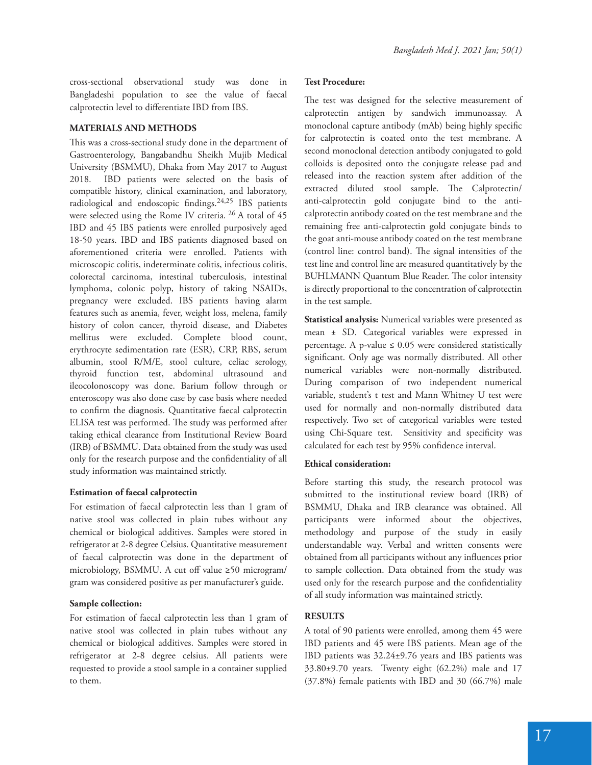cross-sectional observational study was done in Bangladeshi population to see the value of faecal calprotectin level to differentiate IBD from IBS.

### **MATERIALS AND METHODS**

This was a cross-sectional study done in the department of Gastroenterology, Bangabandhu Sheikh Mujib Medical University (BSMMU), Dhaka from May 2017 to August 2018. IBD patients were selected on the basis of compatible history, clinical examination, and laboratory, radiological and endoscopic findings.<sup>24,25</sup> IBS patients were selected using the Rome IV criteria. 26 A total of 45 IBD and 45 IBS patients were enrolled purposively aged 18-50 years. IBD and IBS patients diagnosed based on aforementioned criteria were enrolled. Patients with microscopic colitis, indeterminate colitis, infectious colitis, colorectal carcinoma, intestinal tuberculosis, intestinal lymphoma, colonic polyp, history of taking NSAIDs, pregnancy were excluded. IBS patients having alarm features such as anemia, fever, weight loss, melena, family history of colon cancer, thyroid disease, and Diabetes mellitus were excluded. Complete blood count, erythrocyte sedimentation rate (ESR), CRP, RBS, serum albumin, stool R/M/E, stool culture, celiac serology, thyroid function test, abdominal ultrasound and ileocolonoscopy was done. Barium follow through or enteroscopy was also done case by case basis where needed to confirm the diagnosis. Quantitative faecal calprotectin ELISA test was performed. The study was performed after taking ethical clearance from Institutional Review Board (IRB) of BSMMU. Data obtained from the study was used only for the research purpose and the confidentiality of all study information was maintained strictly.

## **Estimation of faecal calprotectin**

For estimation of faecal calprotectin less than 1 gram of native stool was collected in plain tubes without any chemical or biological additives. Samples were stored in refrigerator at 2-8 degree Celsius. Quantitative measurement of faecal calprotectin was done in the department of microbiology, BSMMU. A cut off value ≥50 microgram/ gram was considered positive as per manufacturer's guide.

#### **Sample collection:**

For estimation of faecal calprotectin less than 1 gram of native stool was collected in plain tubes without any chemical or biological additives. Samples were stored in refrigerator at 2-8 degree celsius. All patients were requested to provide a stool sample in a container supplied to them.

### **Test Procedure:**

The test was designed for the selective measurement of calprotectin antigen by sandwich immunoassay. A monoclonal capture antibody (mAb) being highly specific for calprotectin is coated onto the test membrane. A second monoclonal detection antibody conjugated to gold colloids is deposited onto the conjugate release pad and released into the reaction system after addition of the extracted diluted stool sample. The Calprotectin/ anti-calprotectin gold conjugate bind to the anticalprotectin antibody coated on the test membrane and the remaining free anti-calprotectin gold conjugate binds to the goat anti-mouse antibody coated on the test membrane (control line: control band). The signal intensities of the test line and control line are measured quantitatively by the BUHLMANN Quantum Blue Reader. The color intensity is directly proportional to the concentration of calprotectin in the test sample.

**Statistical analysis:** Numerical variables were presented as mean ± SD. Categorical variables were expressed in percentage. A p-value  $\leq 0.05$  were considered statistically significant. Only age was normally distributed. All other numerical variables were non-normally distributed. During comparison of two independent numerical variable, student's t test and Mann Whitney U test were used for normally and non-normally distributed data respectively. Two set of categorical variables were tested using Chi-Square test. Sensitivity and specificity was calculated for each test by 95% confidence interval.

#### **Ethical consideration:**

Before starting this study, the research protocol was submitted to the institutional review board (IRB) of BSMMU, Dhaka and IRB clearance was obtained. All participants were informed about the objectives, methodology and purpose of the study in easily understandable way. Verbal and written consents were obtained from all participants without any influences prior to sample collection. Data obtained from the study was used only for the research purpose and the confidentiality of all study information was maintained strictly.

#### **RESULTS**

A total of 90 patients were enrolled, among them 45 were IBD patients and 45 were IBS patients. Mean age of the IBD patients was 32.24±9.76 years and IBS patients was 33.80±9.70 years. Twenty eight (62.2%) male and 17 (37.8%) female patients with IBD and 30 (66.7%) male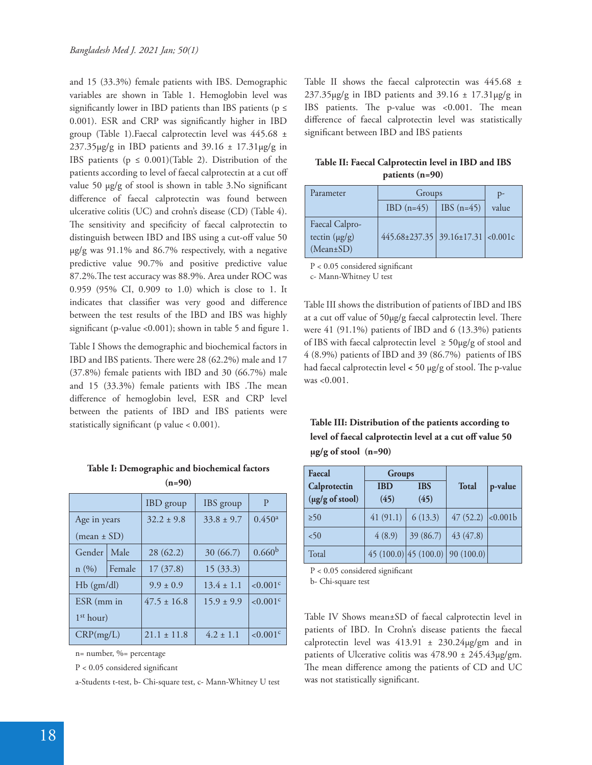and 15 (33.3%) female patients with IBS. Demographic variables are shown in Table 1. Hemoglobin level was significantly lower in IBD patients than IBS patients ( $p \le$ 0.001). ESR and CRP was significantly higher in IBD group (Table 1).Faecal calprotectin level was 445.68 ± 237.35 $\mu$ g/g in IBD patients and 39.16  $\pm$  17.31 $\mu$ g/g in IBS patients ( $p \leq 0.001$ )(Table 2). Distribution of the patients according to level of faecal calprotectin at a cut off value 50  $\mu$ g/g of stool is shown in table 3.No significant difference of faecal calprotectin was found between ulcerative colitis (UC) and crohn's disease (CD) (Table 4). The sensitivity and specificity of faecal calprotectin to distinguish between IBD and IBS using a cut-off value 50 µg/g was 91.1% and 86.7% respectively, with a negative predictive value 90.7% and positive predictive value 87.2%. The test accuracy was 88.9%. Area under ROC was 0.959 (95% CI, 0.909 to 1.0) which is close to 1. It indicates that classifier was very good and difference between the test results of the IBD and IBS was highly significant (p-value <0.001); shown in table 5 and figure 1.

Table I Shows the demographic and biochemical factors in IBD and IBS patients. There were 28 (62.2%) male and 17 (37.8%) female patients with IBD and 30 (66.7%) male and  $15$   $(33.3\%)$  female patients with IBS . The mean difference of hemoglobin level, ESR and CRP level between the patients of IBD and IBS patients were statistically significant (p value  $< 0.001$ ).

| Table I: Demographic and biochemical factors |  |
|----------------------------------------------|--|
| $(n-90)$                                     |  |

| $\mathbf{u}$          |        |                  |                |                         |
|-----------------------|--------|------------------|----------------|-------------------------|
|                       |        | <b>IBD</b> group | IBS group      | P                       |
| Age in years          |        | $32.2 \pm 9.8$   | $33.8 \pm 9.7$ | 0.450 <sup>a</sup>      |
| $(mean \pm SD)$       |        |                  |                |                         |
| Gender                | Male   | 28(62.2)         | 30 (66.7)      | 0.660 <sup>b</sup>      |
| n(%)                  | Female | 17(37.8)         | 15(33.3)       |                         |
| $Hb$ (gm/dl)          |        | $9.9 \pm 0.9$    | $13.4 \pm 1.1$ | ${<}0.001$ <sup>c</sup> |
| ESR (mm in            |        | $47.5 \pm 16.8$  | $15.9 \pm 9.9$ | < 0.001c                |
| 1 <sup>st</sup> hour) |        |                  |                |                         |
| CRP(mg/L)             |        | $21.1 \pm 11.8$  | $4.2 \pm 1.1$  | ${<}0.001$ <sup>c</sup> |

n= number, %= percentage

 $P < 0.05$  considered significant

a-Students t-test, b- Chi-square test, c- Mann-Whitney U test

Table II shows the faecal calprotectin was 445.68 ±  $237.35\mu g/g$  in IBD patients and  $39.16 \pm 17.31\mu g/g$  in IBS patients. The p-value was <0.001. The mean difference of faecal calprotectin level was statistically significant between IBD and IBS patients

| Table II: Faecal Calprotectin level in IBD and IBS |
|----------------------------------------------------|
| patients $(n=90)$                                  |

| Parameter                                               | Groups                                  |              | $D -$ |
|---------------------------------------------------------|-----------------------------------------|--------------|-------|
|                                                         | $IBD(n=45)$                             | IBS $(n=45)$ | value |
| Faecal Calpro-<br>tectin $(\mu g/g)$<br>$(Mean \pm SD)$ | $445.68 \pm 237.35$ 39.16±17.31 <0.001c |              |       |

 $P < 0.05$  considered significant

c- Mann-Whitney U test

Table III shows the distribution of patients of IBD and IBS at a cut off value of 50µg/g faecal calprotectin level. There were 41 (91.1%) patients of IBD and 6 (13.3%) patients of IBS with faecal calprotectin level  $\geq 50 \mu g/g$  of stool and 4 (8.9%) patients of IBD and 39 (86.7%) patients of IBS had faecal calprotectin level < 50 µg/g of stool. The p-value was <0.001.

# **Table III: Distribution of the patients according to**  level of faecal calprotectin level at a cut off value 50 **µg/g of stool (n=90)**

| Faecal          | Groups     |            |                               |         |
|-----------------|------------|------------|-------------------------------|---------|
| Calprotectin    | <b>IBD</b> | <b>IBS</b> | <b>Total</b>                  | p-value |
| (µg/g of stool) | (45)       | (45)       |                               |         |
| $\geq 50$       | 41(91.1)   | 6(13.3)    | 47 $(52.2)$ <0.001b           |         |
| <50             | 4(8.9)     | 39(86.7)   | 43(47.8)                      |         |
| Total           |            |            | 45(100.0) 45(100.0) 90(100.0) |         |

 $P < 0.05$  considered significant

b- Chi-square test

Table IV Shows mean±SD of faecal calprotectin level in patients of IBD. In Crohn's disease patients the faecal calprotectin level was  $413.91 \pm 230.24 \mu$ g/gm and in patients of Ulcerative colitis was  $478.90 \pm 245.43 \mu$ g/gm. The mean difference among the patients of CD and UC was not statistically significant.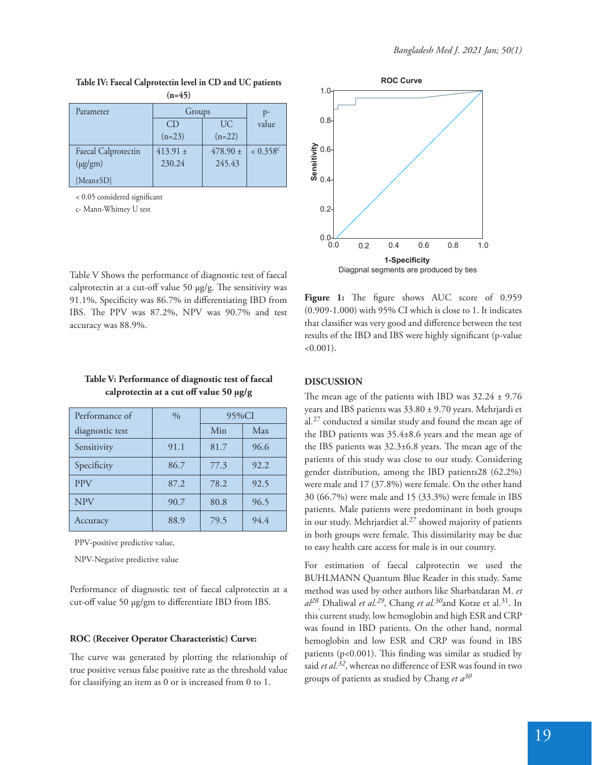| Parameter           | Groups       |                 | p-                     |
|---------------------|--------------|-----------------|------------------------|
|                     | CD.          | UC <sup>1</sup> | value                  |
|                     | $(n=23)$     | $(n=22)$        |                        |
| Faecal Calprotectin | $413.91 \pm$ | 478.90 $\pm$    | $< 0.358$ <sup>c</sup> |
| $(\mu g/gm)$        | 230.24       | 245.43          |                        |
| [ $Mean±SD$ ]       |              |                 |                        |

**Table IV: Faecal Calprotectin level in CD and UC patients (n=45)**

 $< 0.05$  considered significant

c- Mann-Whitney U test



Table V Shows the performance of diagnostic test of faecal calprotectin at a cut-off value 50  $\mu$ g/g. The sensitivity was 91.1%, Specificity was 86.7% in differentiating IBD from IBS. The PPV was 87.2%, NPV was 90.7% and test accuracy was 88.9%.

| Table V: Performance of diagnostic test of faecal |
|---------------------------------------------------|
| calprotectin at a cut off value 50 µg/g           |

| Performance of  | $\frac{0}{0}$ | 95%CI |      |
|-----------------|---------------|-------|------|
| diagnostic test |               | Min   | Max  |
| Sensitivity     | 91.1          | 81.7  | 96.6 |
| Specificity     | 86.7          | 77.3  | 92.2 |
| <b>PPV</b>      | 87.2          | 78.2  | 92.5 |
| <b>NPV</b>      | 90.7          | 80.8  | 96.5 |
| <b>Accuracy</b> | 88.9          | 79.5  | 94.4 |

PPV-positive predictive value,

NPV-Negative predictive value

Performance of diagnostic test of faecal calprotectin at a cut-off value 50 µg/gm to differentiate IBD from IBS.

## **ROC (Receiver Operator Characteristic) Curve:**

The curve was generated by plotting the relationship of true positive versus false positive rate as the threshold value for classifying an item as 0 or is increased from 0 to 1.

Figure 1: The figure shows AUC score of 0.959 (0.909-1.000) with 95% CI which is close to 1. It indicates that classifier was very good and difference between the test results of the IBD and IBS were highly significant (p-value  $<0.001$ ).

## **DISCUSSION**

The mean age of the patients with IBD was  $32.24 \pm 9.76$ years and IBS patients was 33.80 ± 9.70 years. Mehrjardi et al.27 conducted a similar study and found the mean age of the IBD patients was 35.4±8.6 years and the mean age of the IBS patients was  $32.3\pm6.8$  years. The mean age of the patients of this study was close to our study. Considering gender distribution, among the IBD patients28 (62.2%) were male and 17 (37.8%) were female. On the other hand 30 (66.7%) were male and 15 (33.3%) were female in IBS patients. Male patients were predominant in both groups in our study. Mehrjardiet al.<sup>27</sup> showed majority of patients in both groups were female. This dissimilarity may be due to easy health care access for male is in our country.

For estimation of faecal calprotectin we used the BUHLMANN Quantum Blue Reader in this study. Same method was used by other authors like Sharbatdaran M. *et al<sup>28</sup>* , Dhaliwal *et al.29*, Chang *et al.30*and Kotze et al.31. In this current study, low hemoglobin and high ESR and CRP was found in IBD patients. On the other hand, normal hemoglobin and low ESR and CRP was found in IBS patients ( $p<0.001$ ). This finding was similar as studied by said *et al.*<sup>32</sup>, whereas no difference of ESR was found in two groups of patients as studied by Chang *et a<sup>30</sup>*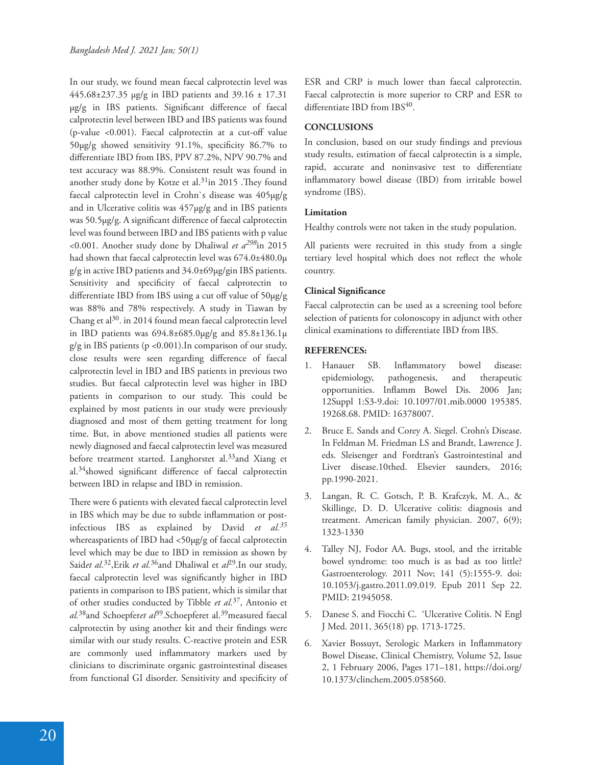In our study, we found mean faecal calprotectin level was 445.68±237.35 µg/g in IBD patients and 39.16 ± 17.31 µg/g in IBS patients. Significant difference of faecal calprotectin level between IBD and IBS patients was found (p-value  $< 0.001$ ). Faecal calprotectin at a cut-off value  $50\mu$ g/g showed sensitivity 91.1%, specificity 86.7% to differentiate IBD from IBS, PPV 87.2%, NPV 90.7% and test accuracy was 88.9%. Consistent result was found in another study done by Kotze et al.<sup>31</sup>in 2015 . They found faecal calprotectin level in Crohn`s disease was 405µg/g and in Ulcerative colitis was  $457\mu g/g$  and in IBS patients was  $50.5\mu g/g$ . A significant difference of faecal calprotectin level was found between IBD and IBS patients with p value <0.001. Another study done by Dhaliwal *et a298*in 2015 had shown that faecal calprotectin level was  $674.0\pm480.0\mu$ g/g in active IBD patients and 34.0±69µg/gin IBS patients. Sensitivity and specificity of faecal calprotectin to differentiate IBD from IBS using a cut off value of  $50\mu g/g$ was 88% and 78% respectively. A study in Tiawan by Chang et al<sup>30</sup>. in 2014 found mean faecal calprotectin level in IBD patients was  $694.8 \pm 685.0 \mu$ g/g and  $85.8 \pm 136.1 \mu$ g/g in IBS patients (p <0.001).In comparison of our study, close results were seen regarding difference of faecal calprotectin level in IBD and IBS patients in previous two studies. But faecal calprotectin level was higher in IBD patients in comparison to our study. This could be explained by most patients in our study were previously diagnosed and most of them getting treatment for long time. But, in above mentioned studies all patients were newly diagnosed and faecal calprotectin level was measured before treatment started. Langhorstet al.<sup>33</sup>and Xiang et al. $34$ showed significant difference of faecal calprotectin between IBD in relapse and IBD in remission.

There were 6 patients with elevated faecal calprotectin level in IBS which may be due to subtle inflammation or postinfectious IBS as explained by David *et al.<sup>35</sup>* whereaspatients of IBD had <50µg/g of faecal calprotectin level which may be due to IBD in remission as shown by Said*et al*. <sup>32</sup>,Erik *et al.*36and Dhaliwal et *al*29.In our study, faecal calprotectin level was significantly higher in IBD patients in comparison to IBS patient, which is similar that of other studies conducted by Tibble *et al.*37, Antonio et *al.*38and Schoepfer*et al*39.Schoepferet al.39measured faecal calprotectin by using another kit and their findings were similar with our study results. C-reactive protein and ESR are commonly used inflammatory markers used by clinicians to discriminate organic gastrointestinal diseases from functional GI disorder. Sensitivity and specificity of

ESR and CRP is much lower than faecal calprotectin. Faecal calprotectin is more superior to CRP and ESR to differentiate IBD from IBS40.

### **CONCLUSIONS**

In conclusion, based on our study findings and previous study results, estimation of faecal calprotectin is a simple, rapid, accurate and noninvasive test to differentiate inflammatory bowel disease (IBD) from irritable bowel syndrome (IBS).

#### **Limitation**

Healthy controls were not taken in the study population.

All patients were recruited in this study from a single tertiary level hospital which does not reflect the whole country.

#### **Clinical Significance**

Faecal calprotectin can be used as a screening tool before selection of patients for colonoscopy in adjunct with other clinical examinations to differentiate IBD from IBS.

## **REFERENCES:**

- 1. Hanauer SB. Inflammatory bowel disease: epidemiology, pathogenesis, and therapeutic opportunities. Inflamm Bowel Dis. 2006 Jan; 12Suppl 1:S3-9.doi: 10.1097/01.mib.0000 195385. 19268.68. PMID: 16378007.
- 2. Bruce E. Sands and Corey A. Siegel. Crohn's Disease. In Feldman M. Friedman LS and Brandt, Lawrence J. eds. Sleisenger and Fordtran's Gastrointestinal and Liver disease.10thed. Elsevier saunders, 2016; pp.1990-2021.
- 3. Langan, R. C. Gotsch, P. B. Krafczyk, M. A., & Skillinge, D. D. Ulcerative colitis: diagnosis and treatment. American family physician. 2007, 6(9); 1323-1330
- 4. Talley NJ, Fodor AA. Bugs, stool, and the irritable bowel syndrome: too much is as bad as too little? Gastroenterology. 2011 Nov; 141 (5):1555-9. doi: 10.1053/j.gastro.2011.09.019. Epub 2011 Sep 22. PMID: 21945058.
- 5. Danese S. and Fiocchi C. 'Ulcerative Colitis. N Engl J Med. 2011, 365(18) pp. 1713-1725.
- 6. Xavier Bossuyt, Serologic Markers in Inflammatory Bowel Disease, Clinical Chemistry, Volume 52, Issue 2, 1 February 2006, Pages 171–181, https://doi.org/ 10.1373/clinchem.2005.058560.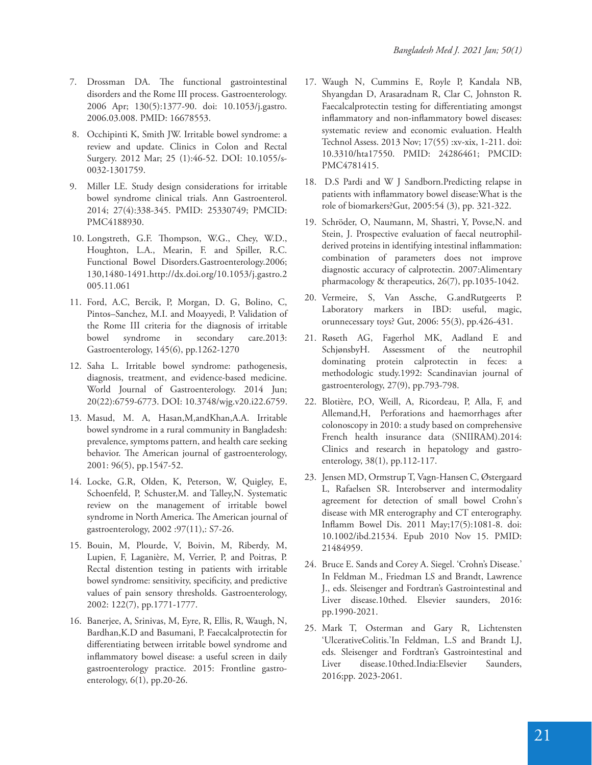- 7. Drossman DA. The functional gastrointestinal disorders and the Rome III process. Gastroenterology. 2006 Apr; 130(5):1377-90. doi: 10.1053/j.gastro. 2006.03.008. PMID: 16678553.
- 8. Occhipinti K, Smith JW. Irritable bowel syndrome: a review and update. Clinics in Colon and Rectal Surgery. 2012 Mar; 25 (1):46-52. DOI: 10.1055/s-0032-1301759.
- 9. Miller LE. Study design considerations for irritable bowel syndrome clinical trials. Ann Gastroenterol. 2014; 27(4):338-345. PMID: 25330749; PMCID: PMC4188930.
- 10. Longstreth, G.F. Thompson, W.G., Chey, W.D., Houghton, L.A., Mearin, F. and Spiller, R.C. Functional Bowel Disorders.Gastroenterology.2006; 130,1480-1491.http://dx.doi.org/10.1053/j.gastro.2 005.11.061
- 11. Ford, A.C, Bercik, P, Morgan, D. G, Bolino, C, Pintos–Sanchez, M.I. and Moayyedi, P. Validation of the Rome III criteria for the diagnosis of irritable bowel syndrome in secondary care.2013: Gastroenterology, 145(6), pp.1262-1270
- 12. Saha L. Irritable bowel syndrome: pathogenesis, diagnosis, treatment, and evidence-based medicine. World Journal of Gastroenterology. 2014 Jun; 20(22):6759-6773. DOI: 10.3748/wjg.v20.i22.6759.
- 13. Masud, M. A, Hasan,M,andKhan,A.A. Irritable bowel syndrome in a rural community in Bangladesh: prevalence, symptoms pattern, and health care seeking behavior. The American journal of gastroenterology, 2001: 96(5), pp.1547-52.
- 14. Locke, G.R, Olden, K, Peterson, W, Quigley, E, Schoenfeld, P, Schuster,M. and Talley,N. Systematic review on the management of irritable bowel syndrome in North America. The American journal of gastroenterology, 2002 :97(11),: S7-26.
- 15. Bouin, M, Plourde, V, Boivin, M, Riberdy, M, Lupien, F, Laganière, M, Verrier, P, and Poitras, P. Rectal distention testing in patients with irritable bowel syndrome: sensitivity, specificity, and predictive values of pain sensory thresholds. Gastroenterology, 2002: 122(7), pp.1771-1777.
- 16. Banerjee, A, Srinivas, M, Eyre, R, Ellis, R, Waugh, N, Bardhan,K.D and Basumani, P. Faecalcalprotectin for differentiating between irritable bowel syndrome and inflammatory bowel disease: a useful screen in daily gastroenterology practice. 2015: Frontline gastroenterology, 6(1), pp.20-26.
- 17. Waugh N, Cummins E, Royle P, Kandala NB, Shyangdan D, Arasaradnam R, Clar C, Johnston R. Faecalcalprotectin testing for differentiating amongst inflammatory and non-inflammatory bowel diseases: systematic review and economic evaluation. Health Technol Assess. 2013 Nov; 17(55) :xv-xix, 1-211. doi: 10.3310/hta17550. PMID: 24286461; PMCID: PMC4781415.
- 18. D.S Pardi and W J Sandborn.Predicting relapse in patients with inflammatory bowel disease: What is the role of biomarkers?Gut, 2005:54 (3), pp. 321-322.
- 19. Schröder, O, Naumann, M, Shastri, Y, Povse,N. and Stein, J. Prospective evaluation of faecal neutrophil‐ derived proteins in identifying intestinal inflammation: combination of parameters does not improve diagnostic accuracy of calprotectin. 2007:Alimentary pharmacology & therapeutics, 26(7), pp.1035-1042.
- 20. Vermeire, S, Van Assche, G.andRutgeerts P. Laboratory markers in IBD: useful, magic, orunnecessary toys? Gut, 2006: 55(3), pp.426-431.
- 21. Røseth AG, Fagerhol MK, Aadland E and SchjønsbyH. Assessment of the neutrophil dominating protein calprotectin in feces: a methodologic study.1992: Scandinavian journal of gastroenterology, 27(9), pp.793-798.
- 22. Blotière, P.O, Weill, A, Ricordeau, P, Alla, F, and Allemand,H, Perforations and haemorrhages after colonoscopy in 2010: a study based on comprehensive French health insurance data (SNIIRAM).2014: Clinics and research in hepatology and gastroenterology, 38(1), pp.112-117.
- 23. Jensen MD, Ormstrup T, Vagn-Hansen C, Østergaard L, Rafaelsen SR. Interobserver and intermodality agreement for detection of small bowel Crohn's disease with MR enterography and CT enterography. Inflamm Bowel Dis. 2011 May;17(5):1081-8. doi: 10.1002/ibd.21534. Epub 2010 Nov 15. PMID: 21484959.
- 24. Bruce E. Sands and Corey A. Siegel. 'Crohn's Disease.' In Feldman M., Friedman LS and Brandt, Lawrence J., eds. Sleisenger and Fordtran's Gastrointestinal and Liver disease.10thed. Elsevier saunders, 2016: pp.1990-2021.
- 25. Mark T, Osterman and Gary R, Lichtensten 'UlcerativeColitis.'In Feldman, L.S and Brandt LJ, eds. Sleisenger and Fordtran's Gastrointestinal and Liver disease.10thed.India:Elsevier Saunders, 2016;pp. 2023-2061.